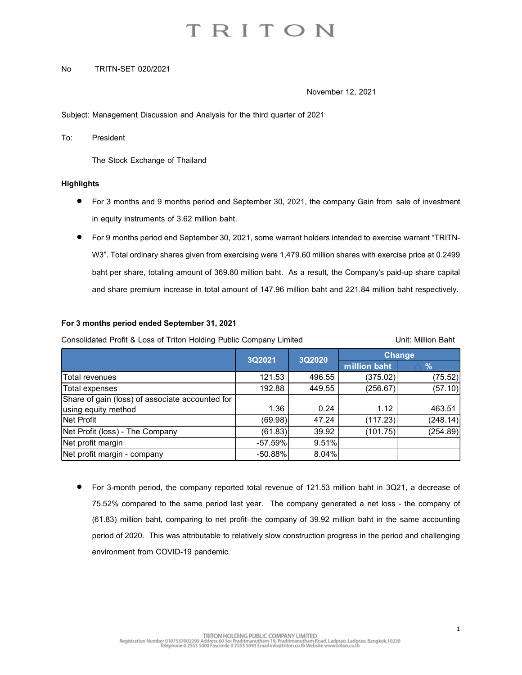# TRITON

### No TRITN-SET 020/2021

November 12, 2021

Subject: Management Discussion and Analysis for the third quarter of 2021

To: President

### **Highlights**

- For 3 months and 9 months period end September 30, 2021, the company Gain from sale of investment in equity instruments of 3.62 million baht.
- For 9 months period end September 30, 2021, some warrant holders intended to exercise warrant "TRITN-W3". Total ordinary shares given from exercising were 1,479.60 million shares with exercise price at 0.2499 baht per share, totaling amount of 369.80 million baht. As a result, the Company's paid-up share capital and share premium increase in total amount of 147.96 million baht and 221.84 million baht respectively.

### For 3 months period ended September 31, 2021

| The Stock Exchange of Thailand                                                                                                                          |                      |                |                          |                          |
|---------------------------------------------------------------------------------------------------------------------------------------------------------|----------------------|----------------|--------------------------|--------------------------|
| <b>Highlights</b>                                                                                                                                       |                      |                |                          |                          |
| For 3 months and 9 months period end September 30, 2021, the company Gain from sale of investment                                                       |                      |                |                          |                          |
| in equity instruments of 3.62 million baht.                                                                                                             |                      |                |                          |                          |
|                                                                                                                                                         |                      |                |                          |                          |
| For 9 months period end September 30, 2021, some warrant holders intended to exercise warrant "TRITN-                                                   |                      |                |                          |                          |
| W3". Total ordinary shares given from exercising were 1,479.60 million shares with exercise price at 0.2499                                             |                      |                |                          |                          |
| baht per share, totaling amount of 369.80 million baht. As a result, the Company's paid-up share capital                                                |                      |                |                          |                          |
|                                                                                                                                                         |                      |                |                          |                          |
| and share premium increase in total amount of 147.96 million baht and 221.84 million baht respectively.<br>For 3 months period ended September 31, 2021 |                      |                |                          |                          |
| Consolidated Profit & Loss of Triton Holding Public Company Limited                                                                                     |                      |                |                          | Unit: Million Baht       |
|                                                                                                                                                         | 3Q2021               | 3Q2020         | <b>Change</b>            |                          |
| Total revenues                                                                                                                                          | 121.53               | 496.55         | million baht<br>(375.02) | $\frac{9}{6}$<br>(75.52) |
| Total expenses                                                                                                                                          | 192.88               | 449.55         | (256.67)                 | (57.10)                  |
| Share of gain (loss) of associate accounted for                                                                                                         |                      |                |                          |                          |
| using equity method                                                                                                                                     | 1.36                 | 0.24           | 1.12                     | 463.51                   |
| Net Profit                                                                                                                                              | (69.98)              | 47.24          | (117.23)                 | (248.14)                 |
| Net Profit (loss) - The Company<br>Net profit margin                                                                                                    | (61.83)<br>$-57.59%$ | 39.92<br>9.51% | (101.75)                 | (254.89)                 |

 For 3-month period, the company reported total revenue of 121.53 million baht in 3Q21, a decrease of 75.52% compared to the same period last year. The company generated a net loss - the company of (61.83) million baht, comparing to net profit–the company of 39.92 million baht in the same accounting period of 2020. This was attributable to relatively slow construction progress in the period and challenging environment from COVID-19 pandemic.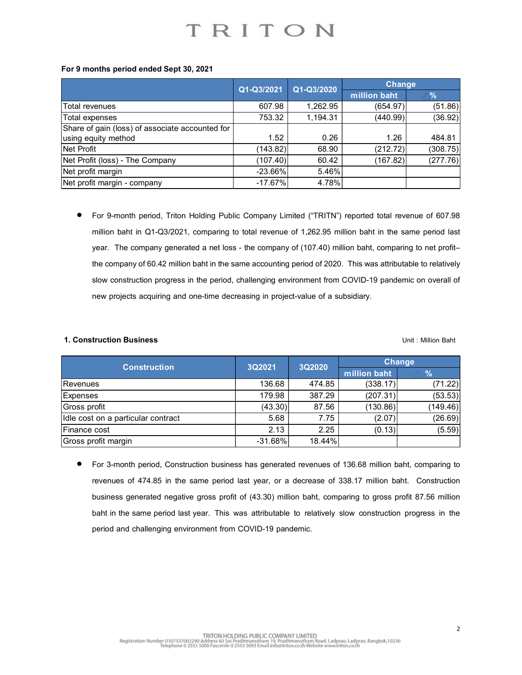|                                                  | TRITON                 |                |               |               |
|--------------------------------------------------|------------------------|----------------|---------------|---------------|
|                                                  |                        |                |               |               |
|                                                  |                        |                |               |               |
| For 9 months period ended Sept 30, 2021          |                        |                |               |               |
|                                                  |                        |                | <b>Change</b> |               |
|                                                  | Q1-Q3/2021             | Q1-Q3/2020     | million baht  | $\frac{9}{6}$ |
| Total revenues                                   | 607.98                 | 1,262.95       | (654.97)      | (51.86)       |
| Total expenses                                   | 753.32                 | 1,194.31       | (440.99)      | (36.92)       |
| Share of gain (loss) of associate accounted for  |                        |                |               |               |
| using equity method                              | 1.52                   | 0.26           | 1.26          | 484.81        |
| Net Profit                                       | (143.82)               | 68.90          | (212.72)      | (308.75)      |
| Net Profit (loss) - The Company                  | (107.40)               | 60.42          | (167.82)      | (277.76)      |
| Net profit margin<br>Net profit margin - company | $-23.66%$<br>$-17.67%$ | 5.46%<br>4.78% |               |               |

 For 9-month period, Triton Holding Public Company Limited ("TRITN") reported total revenue of 607.98 million baht in Q1-Q3/2021, comparing to total revenue of 1,262.95 million baht in the same period last year. The company generated a net loss - the company of (107.40) million baht, comparing to net profit– the company of 60.42 million baht in the same accounting period of 2020. This was attributable to relatively slow construction progress in the period, challenging environment from COVID-19 pandemic on overall of new projects acquiring and one-time decreasing in project-value of a subsidiary. reported total revenue of 607.98<br>
(167.82) (277.76)<br>
(277.76)<br>
This was attributable to relatively<br>
COVID-19 pandemic on overall of<br>
bosidiary.<br>
Unit : Million Baht<br>
Change<br>
million baht<br>
Change<br>
(338.17) (71.22)<br>
(207.31 (143.82) 68.90 (212.72) (308.75)<br>
The Company (107.40) 60.42 (167.82) (277.76)<br>
-company -23.66% 5.46%<br>
-company -17.67% 4.78%<br>
white period, Triton Holding Public Company Limited ("TRITN") reported total revenue of 607.9

## **1. Construction Business National State of Exception Construction Baht** Unit : Million Baht

| $\overline{C}$ rivill (1055) - The Company                                                                                                                                                                                                                                                                                                                                                                                                                                                                                                           | 101.401          | <b>UU.44</b>    | (101.02)             | (L11.10)            |
|------------------------------------------------------------------------------------------------------------------------------------------------------------------------------------------------------------------------------------------------------------------------------------------------------------------------------------------------------------------------------------------------------------------------------------------------------------------------------------------------------------------------------------------------------|------------------|-----------------|----------------------|---------------------|
| Net profit margin                                                                                                                                                                                                                                                                                                                                                                                                                                                                                                                                    | $-23.66%$        | 5.46%           |                      |                     |
| Net profit margin - company                                                                                                                                                                                                                                                                                                                                                                                                                                                                                                                          | $-17.67%$        | 4.78%           |                      |                     |
| For 9-month period, Triton Holding Public Company Limited ("TRITN") reported total revenue of 607.98<br>million baht in Q1-Q3/2021, comparing to total revenue of 1,262.95 million baht in the same period last<br>year. The company generated a net loss - the company of (107.40) million baht, comparing to net profit-<br>the company of 60.42 million baht in the same accounting period of 2020. This was attributable to relatively<br>slow construction progress in the period, challenging environment from COVID-19 pandemic on overall of |                  |                 |                      |                     |
| new projects acquiring and one-time decreasing in project-value of a subsidiary.<br>1. Construction Business                                                                                                                                                                                                                                                                                                                                                                                                                                         |                  |                 |                      |                     |
| <b>Construction</b>                                                                                                                                                                                                                                                                                                                                                                                                                                                                                                                                  | 3Q2021           | 3Q2020          | <b>Change</b>        | Unit: Million Baht  |
|                                                                                                                                                                                                                                                                                                                                                                                                                                                                                                                                                      |                  |                 | million baht         | $\frac{9}{6}$       |
| Revenues                                                                                                                                                                                                                                                                                                                                                                                                                                                                                                                                             | 136.68<br>179.98 | 474.85          | (338.17)             | (71.22)             |
| <b>Expenses</b><br>Gross profit                                                                                                                                                                                                                                                                                                                                                                                                                                                                                                                      | (43.30)          | 387.29<br>87.56 | (207.31)<br>(130.86) | (53.53)<br>(149.46) |
| Idle cost on a particular contract                                                                                                                                                                                                                                                                                                                                                                                                                                                                                                                   | 5.68             | 7.75            | (2.07)               | (26.69)             |
| Finance cost                                                                                                                                                                                                                                                                                                                                                                                                                                                                                                                                         | 2.13             | 2.25            | (0.13)               | (5.59)              |

 For 3-month period, Construction business has generated revenues of 136.68 million baht, comparing to revenues of 474.85 in the same period last year, or a decrease of 338.17 million baht. Construction business generated negative gross profit of (43.30) million baht, comparing to gross profit 87.56 million baht in the same period last year. This was attributable to relatively slow construction progress in the period and challenging environment from COVID-19 pandemic.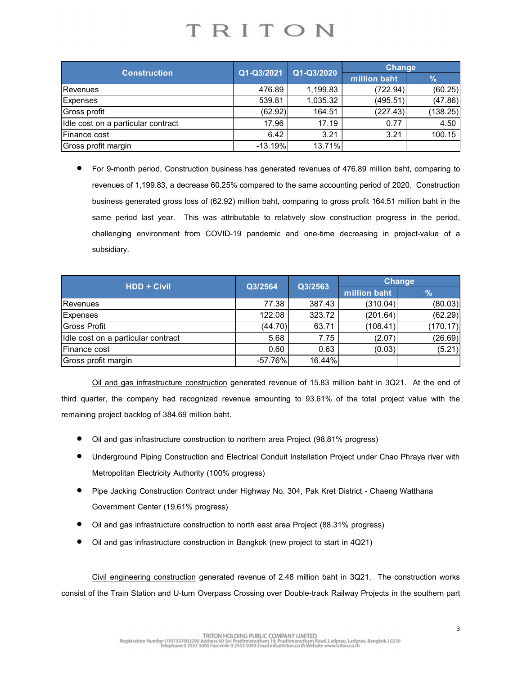| TRITON<br><b>Change</b><br><b>Construction</b><br>Q1-Q3/2021<br>Q1-Q3/2020<br>million baht<br>$\%$<br>476.89<br>1,199.83<br>(60.25)<br>Revenues<br>(722.94)<br>539.81<br>(47.86)<br>Expenses<br>1,035.32<br>(495.51)<br>164.51<br>Gross profit<br>(62.92)<br>(227.43)<br>(138.25)<br>Idle cost on a particular contract<br>17.96<br>17.19<br>0.77<br>4.50 |              |      |      |      |        |
|-----------------------------------------------------------------------------------------------------------------------------------------------------------------------------------------------------------------------------------------------------------------------------------------------------------------------------------------------------------|--------------|------|------|------|--------|
|                                                                                                                                                                                                                                                                                                                                                           |              |      |      |      |        |
|                                                                                                                                                                                                                                                                                                                                                           |              |      |      |      |        |
|                                                                                                                                                                                                                                                                                                                                                           |              |      |      |      |        |
|                                                                                                                                                                                                                                                                                                                                                           |              |      |      |      |        |
|                                                                                                                                                                                                                                                                                                                                                           |              |      |      |      |        |
|                                                                                                                                                                                                                                                                                                                                                           |              |      |      |      |        |
|                                                                                                                                                                                                                                                                                                                                                           |              |      |      |      |        |
|                                                                                                                                                                                                                                                                                                                                                           |              |      |      |      |        |
|                                                                                                                                                                                                                                                                                                                                                           |              |      |      |      |        |
|                                                                                                                                                                                                                                                                                                                                                           |              |      |      |      |        |
|                                                                                                                                                                                                                                                                                                                                                           |              |      |      |      |        |
|                                                                                                                                                                                                                                                                                                                                                           |              |      |      |      |        |
|                                                                                                                                                                                                                                                                                                                                                           |              |      |      |      |        |
|                                                                                                                                                                                                                                                                                                                                                           |              |      |      |      |        |
|                                                                                                                                                                                                                                                                                                                                                           |              |      |      |      |        |
|                                                                                                                                                                                                                                                                                                                                                           |              |      |      |      |        |
|                                                                                                                                                                                                                                                                                                                                                           |              |      |      |      |        |
|                                                                                                                                                                                                                                                                                                                                                           |              |      |      |      |        |
|                                                                                                                                                                                                                                                                                                                                                           |              |      |      |      |        |
|                                                                                                                                                                                                                                                                                                                                                           |              |      |      |      |        |
| 13.71%<br>$-13.19%$<br>Gross profit margin                                                                                                                                                                                                                                                                                                                | Finance cost | 6.42 | 3.21 | 3.21 | 100.15 |
|                                                                                                                                                                                                                                                                                                                                                           |              |      |      |      |        |

 For 9-month period, Construction business has generated revenues of 476.89 million baht, comparing to revenues of 1,199.83, a decrease 60.25% compared to the same accounting period of 2020. Construction business generated gross loss of (62.92) million baht, comparing to gross profit 164.51 million baht in the same period last year. This was attributable to relatively slow construction progress in the period, challenging environment from COVID-19 pandemic and one-time decreasing in project-value of a subsidiary. million baht  $\frac{6}{172294}$   $\frac{(60.25)}{(495.51)}$   $\frac{(47.86)}{(138.25)}$   $\frac{(227.43)}{(138.25)}$   $\frac{(138.25)}{3.21}$   $\frac{(100.15)}{100.15}$ <br>476.89 million baht, comparing to tring period of 2020. Construction<br>is profit 164.51 millio Construction<br>
Mathematic Construction<br>
1.199.83 (722.94) (60.25)<br>
539.81 1.99.83 (722.94) (60.25)<br>
1.199.83 1.199.83 (495.551) (47.86)<br>
1.7.96 17.19 0.77 4.50<br>
in 1.319% 13.71%<br>
1.199.83 a decrease 60.25% compared to the

| Revenues                            |                                                                                                                                                                                                                     | 476.89            | 1,199.83       | (722.94)      | (60.25)       |
|-------------------------------------|---------------------------------------------------------------------------------------------------------------------------------------------------------------------------------------------------------------------|-------------------|----------------|---------------|---------------|
| Expenses                            |                                                                                                                                                                                                                     | 539.81            | 1,035.32       | (495.51)      | (47.86)       |
| Gross profit                        |                                                                                                                                                                                                                     | (62.92)           | 164.51         | (227.43)      | (138.25)      |
|                                     | Idle cost on a particular contract                                                                                                                                                                                  | 17.96             | 17.19          | 0.77          | 4.50          |
| Finance cost                        |                                                                                                                                                                                                                     | 6.42              | 3.21           | 3.21          | 100.15        |
| Gross profit margin                 |                                                                                                                                                                                                                     | $-13.19%$         | 13.71%         |               |               |
|                                     | revenues of 1,199.83, a decrease 60.25% compared to the same accounting period of 2020. Construction<br>business generated gross loss of (62.92) million baht, comparing to gross profit 164.51 million baht in the |                   |                |               |               |
|                                     | same period last year. This was attributable to relatively slow construction progress in the period,<br>challenging environment from COVID-19 pandemic and one-time decreasing in project-value of a<br>subsidiary. |                   |                |               |               |
|                                     | <b>HDD + Civil</b>                                                                                                                                                                                                  | Q3/2564           | Q3/2563        | <b>Change</b> |               |
|                                     |                                                                                                                                                                                                                     |                   |                | million baht  | $\frac{9}{6}$ |
| Revenues                            |                                                                                                                                                                                                                     | 77.38             | 387.43         | (310.04)      | (80.03)       |
| Expenses                            |                                                                                                                                                                                                                     | 122.08            | 323.72         | (201.64)      | (62.29)       |
| Gross Profit                        |                                                                                                                                                                                                                     | (44.70)           | 63.71          | (108.41)      | (170.17)      |
|                                     | Idle cost on a particular contract                                                                                                                                                                                  | 5.68              | 7.75           | (2.07)        | (26.69)       |
| Finance cost<br>Gross profit margin |                                                                                                                                                                                                                     | 0.60<br>$-57.76%$ | 0.63<br>16.44% | (0.03)        | (5.21)        |

- Oil and gas infrastructure construction to northern area Project (98.81% progress)
- Underground Piping Construction and Electrical Conduit Installation Project under Chao Phraya river with Metropolitan Electricity Authority (100% progress)
- Pipe Jacking Construction Contract under Highway No. 304, Pak Kret District Chaeng Watthana Government Center (19.61% progress)
- Oil and gas infrastructure construction to north east area Project (88.31% progress)
- Oil and gas infrastructure construction in Bangkok (new project to start in 4Q21)

Civil engineering construction generated revenue of 2.48 million baht in 3Q21. The construction works consist of the Train Station and U-turn Overpass Crossing over Double-track Railway Projects in the southern part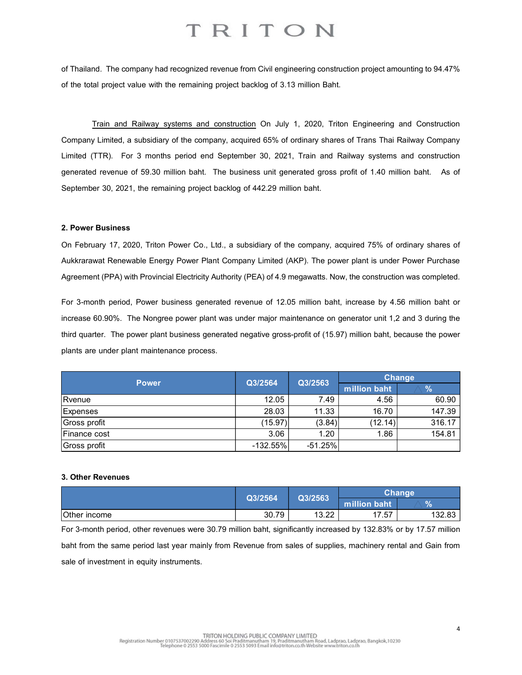## TRITON

of Thailand. The company had recognized revenue from Civil engineering construction project amounting to 94.47% of the total project value with the remaining project backlog of 3.13 million Baht.

Train and Railway systems and construction On July 1, 2020, Triton Engineering and Construction Company Limited, a subsidiary of the company, acquired 65% of ordinary shares of Trans Thai Railway Company Limited (TTR). For 3 months period end September 30, 2021, Train and Railway systems and construction generated revenue of 59.30 million baht. The business unit generated gross profit of 1.40 million baht. As of September 30, 2021, the remaining project backlog of 442.29 million baht.

### 2. Power Business

| generated revenue of 59.30 million baht. The business unit generated gross profit of 1.40 million baht. As of      |                    |           |                       |                |
|--------------------------------------------------------------------------------------------------------------------|--------------------|-----------|-----------------------|----------------|
| September 30, 2021, the remaining project backlog of 442.29 million baht.                                          |                    |           |                       |                |
|                                                                                                                    |                    |           |                       |                |
| 2. Power Business                                                                                                  |                    |           |                       |                |
| On February 17, 2020, Triton Power Co., Ltd., a subsidiary of the company, acquired 75% of ordinary shares of      |                    |           |                       |                |
| Aukkrarawat Renewable Energy Power Plant Company Limited (AKP). The power plant is under Power Purchase            |                    |           |                       |                |
| Agreement (PPA) with Provincial Electricity Authority (PEA) of 4.9 megawatts. Now, the construction was completed. |                    |           |                       |                |
|                                                                                                                    |                    |           |                       |                |
| For 3-month period, Power business generated revenue of 12.05 million baht, increase by 4.56 million baht or       |                    |           |                       |                |
| increase 60.90%. The Nongree power plant was under major maintenance on generator unit 1,2 and 3 during the        |                    |           |                       |                |
| third quarter. The power plant business generated negative gross-profit of (15.97) million baht, because the power |                    |           |                       |                |
| plants are under plant maintenance process.                                                                        |                    |           |                       |                |
|                                                                                                                    |                    |           |                       |                |
| <b>Power</b>                                                                                                       | Q3/2564            | Q3/2563   | <b>Change</b>         |                |
|                                                                                                                    |                    |           | million baht          | $\%$           |
| Rvenue                                                                                                             | 12.05              | 7.49      | 4.56                  | 60.90          |
| Expenses                                                                                                           | 28.03              | 11.33     | 16.70                 | 147.39         |
| Gross profit                                                                                                       | (15.97)            | (3.84)    | (12.14)               | 316.17         |
| Finance cost                                                                                                       | 3.06<br>$-132.55%$ | 1.20      | 1.86                  | 154.81         |
| Gross profit                                                                                                       |                    | $-51.25%$ |                       |                |
|                                                                                                                    |                    |           |                       |                |
| 3. Other Revenues                                                                                                  |                    |           |                       |                |
|                                                                                                                    | Q3/2564            | Q3/2563   | Change                |                |
| Other income                                                                                                       | 30.79              | 13.22     | million baht<br>17.57 | $\%$<br>132.83 |
|                                                                                                                    |                    |           |                       |                |
| For 3-month period, other revenues were 30.79 million baht, significantly increased by 132.83% or by 17.57 million |                    |           |                       |                |
| baht from the same period last year mainly from Revenue from sales of supplies, machinery rental and Gain from     |                    |           |                       |                |
| sale of investment in equity instruments.                                                                          |                    |           |                       |                |
|                                                                                                                    |                    |           |                       |                |

### 3. Other Revenues

|              | Q3/2564 | Q3/2563       |              | Chanqeˈ |
|--------------|---------|---------------|--------------|---------|
|              |         |               | million baht | $\%$    |
| Other income | 30.79   | 12.OO<br>0.ZZ | 17.57        | 132.83  |